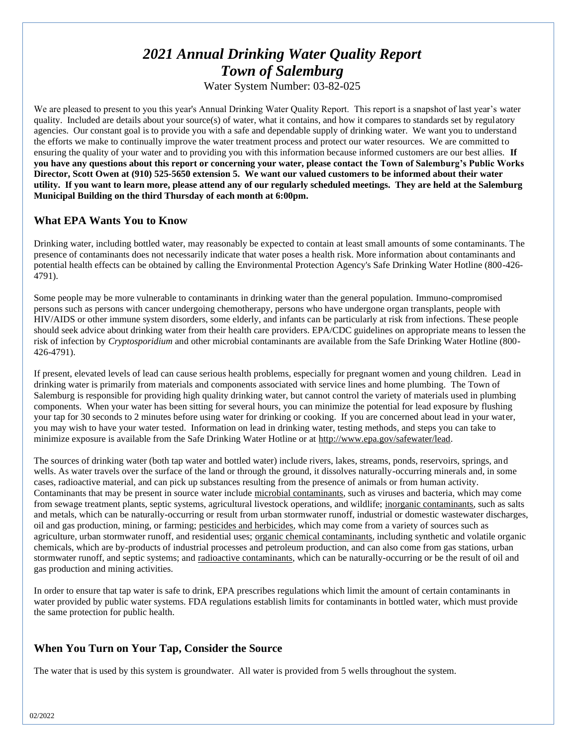# *2021 Annual Drinking Water Quality Report Town of Salemburg*

Water System Number: 03-82-025

We are pleased to present to you this year's Annual Drinking Water Quality Report. This report is a snapshot of last year's water quality. Included are details about your source(s) of water, what it contains, and how it compares to standards set by regulatory agencies. Our constant goal is to provide you with a safe and dependable supply of drinking water. We want you to understand the efforts we make to continually improve the water treatment process and protect our water resources. We are committed to ensuring the quality of your water and to providing you with this information because informed customers are our best allies. **If you have any questions about this report or concerning your water, please contact the Town of Salemburg's Public Works Director, Scott Owen at (910) 525-5650 extension 5. We want our valued customers to be informed about their water utility. If you want to learn more, please attend any of our regularly scheduled meetings. They are held at the Salemburg Municipal Building on the third Thursday of each month at 6:00pm.**

## **What EPA Wants You to Know**

Drinking water, including bottled water, may reasonably be expected to contain at least small amounts of some contaminants. The presence of contaminants does not necessarily indicate that water poses a health risk. More information about contaminants and potential health effects can be obtained by calling the Environmental Protection Agency's Safe Drinking Water Hotline (800-426- 4791).

Some people may be more vulnerable to contaminants in drinking water than the general population. Immuno-compromised persons such as persons with cancer undergoing chemotherapy, persons who have undergone organ transplants, people with HIV/AIDS or other immune system disorders, some elderly, and infants can be particularly at risk from infections. These people should seek advice about drinking water from their health care providers. EPA/CDC guidelines on appropriate means to lessen the risk of infection by *Cryptosporidium* and other microbial contaminants are available from the Safe Drinking Water Hotline (800- 426-4791).

If present, elevated levels of lead can cause serious health problems, especially for pregnant women and young children. Lead in drinking water is primarily from materials and components associated with service lines and home plumbing. The Town of Salemburg is responsible for providing high quality drinking water, but cannot control the variety of materials used in plumbing components. When your water has been sitting for several hours, you can minimize the potential for lead exposure by flushing your tap for 30 seconds to 2 minutes before using water for drinking or cooking. If you are concerned about lead in your water, you may wish to have your water tested. Information on lead in drinking water, testing methods, and steps you can take to minimize exposure is available from the Safe Drinking Water Hotline or at [http://www.epa.gov/safewater/lead.](http://www.epa.gov/safewater/lead)

The sources of drinking water (both tap water and bottled water) include rivers, lakes, streams, ponds, reservoirs, springs, and wells. As water travels over the surface of the land or through the ground, it dissolves naturally-occurring minerals and, in some cases, radioactive material, and can pick up substances resulting from the presence of animals or from human activity. Contaminants that may be present in source water include microbial contaminants, such as viruses and bacteria, which may come from sewage treatment plants, septic systems, agricultural livestock operations, and wildlife; inorganic contaminants, such as salts and metals, which can be naturally-occurring or result from urban stormwater runoff, industrial or domestic wastewater discharges, oil and gas production, mining, or farming; pesticides and herbicides, which may come from a variety of sources such as agriculture, urban stormwater runoff, and residential uses; organic chemical contaminants, including synthetic and volatile organic chemicals, which are by-products of industrial processes and petroleum production, and can also come from gas stations, urban stormwater runoff, and septic systems; and radioactive contaminants, which can be naturally-occurring or be the result of oil and gas production and mining activities.

In order to ensure that tap water is safe to drink, EPA prescribes regulations which limit the amount of certain contaminants in water provided by public water systems. FDA regulations establish limits for contaminants in bottled water, which must provide the same protection for public health.

# **When You Turn on Your Tap, Consider the Source**

The water that is used by this system is groundwater. All water is provided from 5 wells throughout the system.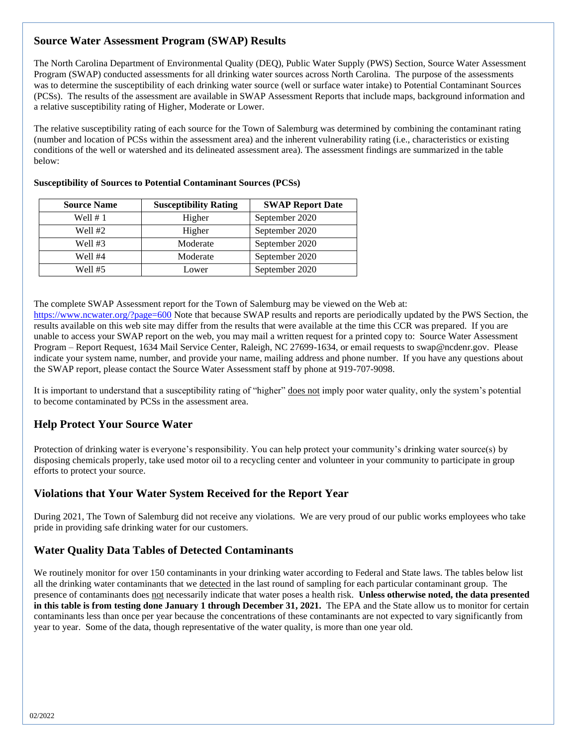## **Source Water Assessment Program (SWAP) Results**

The North Carolina Department of Environmental Quality (DEQ), Public Water Supply (PWS) Section, Source Water Assessment Program (SWAP) conducted assessments for all drinking water sources across North Carolina. The purpose of the assessments was to determine the susceptibility of each drinking water source (well or surface water intake) to Potential Contaminant Sources (PCSs). The results of the assessment are available in SWAP Assessment Reports that include maps, background information and a relative susceptibility rating of Higher, Moderate or Lower.

The relative susceptibility rating of each source for the Town of Salemburg was determined by combining the contaminant rating (number and location of PCSs within the assessment area) and the inherent vulnerability rating (i.e., characteristics or existing conditions of the well or watershed and its delineated assessment area). The assessment findings are summarized in the table below:

| <b>Source Name</b> | <b>Susceptibility Rating</b> | <b>SWAP Report Date</b> |
|--------------------|------------------------------|-------------------------|
| Well $# 1$         | Higher                       | September 2020          |
| Well #2            | Higher                       | September 2020          |
| Well #3            | Moderate                     | September 2020          |
| Well #4            | Moderate                     | September 2020          |
| Well #5            | Lower                        | September 2020          |

#### **Susceptibility of Sources to Potential Contaminant Sources (PCSs)**

The complete SWAP Assessment report for the Town of Salemburg may be viewed on the Web at:

<https://www.ncwater.org/?page=600> Note that because SWAP results and reports are periodically updated by the PWS Section, the results available on this web site may differ from the results that were available at the time this CCR was prepared. If you are unable to access your SWAP report on the web, you may mail a written request for a printed copy to: Source Water Assessment Program – Report Request, 1634 Mail Service Center, Raleigh, NC 27699-1634, or email requests to swap@ncdenr.gov. Please indicate your system name, number, and provide your name, mailing address and phone number. If you have any questions about the SWAP report, please contact the Source Water Assessment staff by phone at 919-707-9098.

It is important to understand that a susceptibility rating of "higher" does not imply poor water quality, only the system's potential to become contaminated by PCSs in the assessment area.

## **Help Protect Your Source Water**

Protection of drinking water is everyone's responsibility. You can help protect your community's drinking water source(s) by disposing chemicals properly, take used motor oil to a recycling center and volunteer in your community to participate in group efforts to protect your source.

## **Violations that Your Water System Received for the Report Year**

During 2021, The Town of Salemburg did not receive any violations. We are very proud of our public works employees who take pride in providing safe drinking water for our customers.

## **Water Quality Data Tables of Detected Contaminants**

We routinely monitor for over 150 contaminants in your drinking water according to Federal and State laws. The tables below list all the drinking water contaminants that we detected in the last round of sampling for each particular contaminant group. The presence of contaminants does not necessarily indicate that water poses a health risk. **Unless otherwise noted, the data presented in this table is from testing done January 1 through December 31, 2021.** The EPA and the State allow us to monitor for certain contaminants less than once per year because the concentrations of these contaminants are not expected to vary significantly from year to year. Some of the data, though representative of the water quality, is more than one year old.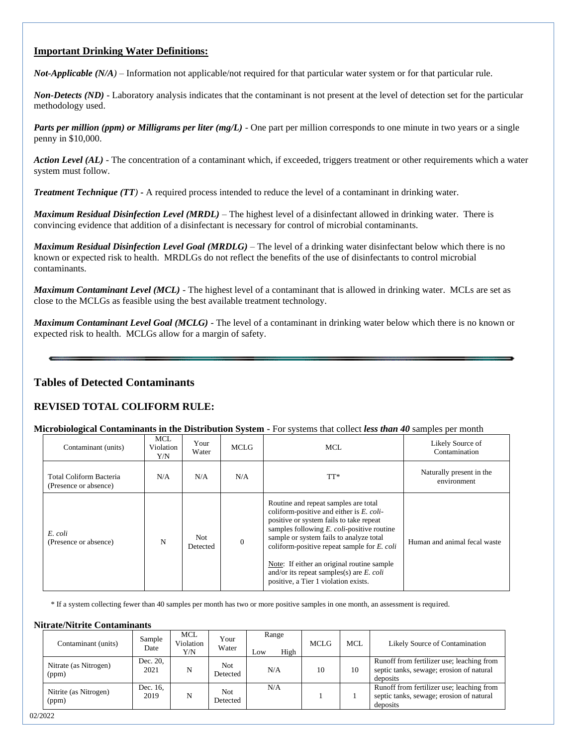## **Important Drinking Water Definitions:**

*Not-Applicable (N/A)* – Information not applicable/not required for that particular water system or for that particular rule.

*Non-Detects (ND)* - Laboratory analysis indicates that the contaminant is not present at the level of detection set for the particular methodology used.

*Parts per million (ppm) or Milligrams per liter (mg/L)* - One part per million corresponds to one minute in two years or a single penny in \$10,000.

*Action Level (AL) -* The concentration of a contaminant which, if exceeded, triggers treatment or other requirements which a water system must follow.

*Treatment Technique (TT)* **-** A required process intended to reduce the level of a contaminant in drinking water.

*Maximum Residual Disinfection Level (MRDL)* – The highest level of a disinfectant allowed in drinking water. There is convincing evidence that addition of a disinfectant is necessary for control of microbial contaminants.

*Maximum Residual Disinfection Level Goal (MRDLG)* – The level of a drinking water disinfectant below which there is no known or expected risk to health. MRDLGs do not reflect the benefits of the use of disinfectants to control microbial contaminants.

*Maximum Contaminant Level (MCL)* - The highest level of a contaminant that is allowed in drinking water. MCLs are set as close to the MCLGs as feasible using the best available treatment technology.

*Maximum Contaminant Level Goal (MCLG)* - The level of a contaminant in drinking water below which there is no known or expected risk to health. MCLGs allow for a margin of safety.

## **Tables of Detected Contaminants**

### **REVISED TOTAL COLIFORM RULE:**

#### **Microbiological Contaminants in the Distribution System -** For systems that collect *less than 40* samples per month

| Contaminant (units)                              | MCL<br>Violation<br>Y/N | Your<br>Water   | <b>MCLG</b> | MCL                                                                                                                                                                                                                                                                                                                                                                                                                    | Likely Source of<br>Contamination       |
|--------------------------------------------------|-------------------------|-----------------|-------------|------------------------------------------------------------------------------------------------------------------------------------------------------------------------------------------------------------------------------------------------------------------------------------------------------------------------------------------------------------------------------------------------------------------------|-----------------------------------------|
| Total Coliform Bacteria<br>(Presence or absence) | N/A                     | N/A             | N/A         | TT*                                                                                                                                                                                                                                                                                                                                                                                                                    | Naturally present in the<br>environment |
| E. coli<br>(Presence or absence)                 | N                       | Not<br>Detected | $\Omega$    | Routine and repeat samples are total<br>coliform-positive and either is E. coli-<br>positive or system fails to take repeat<br>samples following $E$ . <i>coli</i> -positive routine<br>sample or system fails to analyze total<br>coliform-positive repeat sample for $E$ . coli<br>Note: If either an original routine sample<br>and/or its repeat samples(s) are $E$ . coli<br>positive, a Tier 1 violation exists. | Human and animal fecal waste            |

\* If a system collecting fewer than 40 samples per month has two or more positive samples in one month, an assessment is required.

#### **Nitrate/Nitrite Contaminants**

| Contaminant (units)            | Sample<br>Date   | <b>MCL</b><br>Violation<br>Y/N | Your<br>Water   | Range<br>High<br>Low | <b>MCLG</b> | <b>MCL</b> | Likely Source of Contamination                                                                    |
|--------------------------------|------------------|--------------------------------|-----------------|----------------------|-------------|------------|---------------------------------------------------------------------------------------------------|
| Nitrate (as Nitrogen)<br>(ppm) | Dec. 20,<br>2021 | N                              | Not<br>Detected | N/A                  | 10          | 10         | Runoff from fertilizer use; leaching from<br>septic tanks, sewage; erosion of natural<br>deposits |
| Nitrite (as Nitrogen)<br>(ppm) | Dec. 16.<br>2019 | N                              | Not<br>Detected | N/A                  |             |            | Runoff from fertilizer use; leaching from<br>septic tanks, sewage; erosion of natural<br>deposits |